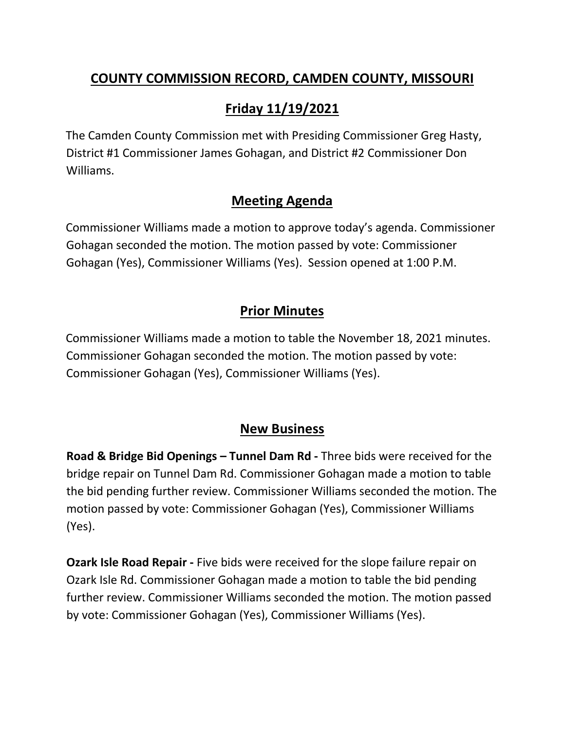## **COUNTY COMMISSION RECORD, CAMDEN COUNTY, MISSOURI**

# **Friday 11/19/2021**

The Camden County Commission met with Presiding Commissioner Greg Hasty, District #1 Commissioner James Gohagan, and District #2 Commissioner Don Williams.

### **Meeting Agenda**

Commissioner Williams made a motion to approve today's agenda. Commissioner Gohagan seconded the motion. The motion passed by vote: Commissioner Gohagan (Yes), Commissioner Williams (Yes). Session opened at 1:00 P.M.

## **Prior Minutes**

Commissioner Williams made a motion to table the November 18, 2021 minutes. Commissioner Gohagan seconded the motion. The motion passed by vote: Commissioner Gohagan (Yes), Commissioner Williams (Yes).

#### **New Business**

**Road & Bridge Bid Openings – Tunnel Dam Rd -** Three bids were received for the bridge repair on Tunnel Dam Rd. Commissioner Gohagan made a motion to table the bid pending further review. Commissioner Williams seconded the motion. The motion passed by vote: Commissioner Gohagan (Yes), Commissioner Williams (Yes).

**Ozark Isle Road Repair -** Five bids were received for the slope failure repair on Ozark Isle Rd. Commissioner Gohagan made a motion to table the bid pending further review. Commissioner Williams seconded the motion. The motion passed by vote: Commissioner Gohagan (Yes), Commissioner Williams (Yes).